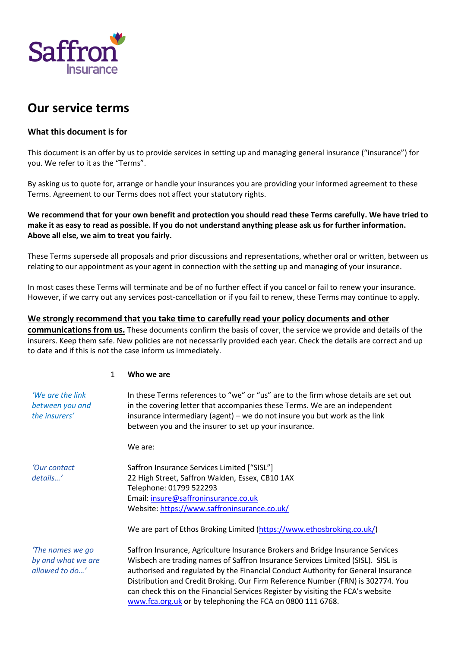

# **Our service terms**

# **What this document is for**

This document is an offer by us to provide services in setting up and managing general insurance ("insurance") for you. We refer to it as the "Terms".

By asking us to quote for, arrange or handle your insurances you are providing your informed agreement to these Terms. Agreement to our Terms does not affect your statutory rights.

**We recommend that for your own benefit and protection you should read these Terms carefully. We have tried to make it as easy to read as possible. If you do not understand anything please ask us for further information. Above all else, we aim to treat you fairly.**

These Terms supersede all proposals and prior discussions and representations, whether oral or written, between us relating to our appointment as your agent in connection with the setting up and managing of your insurance.

In most cases these Terms will terminate and be of no further effect if you cancel or fail to renew your insurance. However, if we carry out any services post-cancellation or if you fail to renew, these Terms may continue to apply.

# **We strongly recommend that you take time to carefully read your policy documents and other**

**communications from us.** These documents confirm the basis of cover, the service we provide and details of the insurers. Keep them safe. New policies are not necessarily provided each year. Check the details are correct and up to date and if this is not the case inform us immediately.

#### 1 **Who we are**

| 'We are the link<br>between you and<br>the insurers'     | In these Terms references to "we" or "us" are to the firm whose details are set out<br>in the covering letter that accompanies these Terms. We are an independent<br>insurance intermediary (agent) – we do not insure you but work as the link<br>between you and the insurer to set up your insurance.                                                                                                                                                                                                                                                             |
|----------------------------------------------------------|----------------------------------------------------------------------------------------------------------------------------------------------------------------------------------------------------------------------------------------------------------------------------------------------------------------------------------------------------------------------------------------------------------------------------------------------------------------------------------------------------------------------------------------------------------------------|
|                                                          | We are:                                                                                                                                                                                                                                                                                                                                                                                                                                                                                                                                                              |
| 'Our contact<br>details'                                 | Saffron Insurance Services Limited ["SISL"]<br>22 High Street, Saffron Walden, Essex, CB10 1AX<br>Telephone: 01799 522293<br>Email: insure@saffroninsurance.co.uk<br>Website: https://www.saffroninsurance.co.uk/                                                                                                                                                                                                                                                                                                                                                    |
| 'The names we go<br>by and what we are<br>allowed to do' | We are part of Ethos Broking Limited (https://www.ethosbroking.co.uk/)<br>Saffron Insurance, Agriculture Insurance Brokers and Bridge Insurance Services<br>Wisbech are trading names of Saffron Insurance Services Limited (SISL). SISL is<br>authorised and regulated by the Financial Conduct Authority for General Insurance<br>Distribution and Credit Broking. Our Firm Reference Number (FRN) is 302774. You<br>can check this on the Financial Services Register by visiting the FCA's website<br>www.fca.org.uk or by telephoning the FCA on 0800 111 6768. |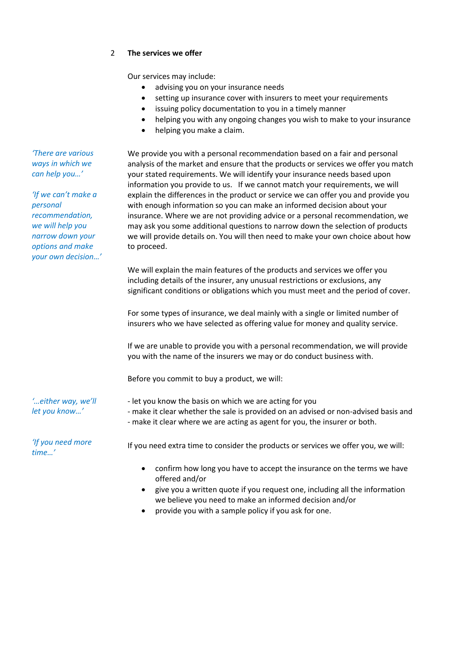# 2 **The services we offer**

Our services may include:

- advising you on your insurance needs
- setting up insurance cover with insurers to meet your requirements
- issuing policy documentation to you in a timely manner
- helping you with any ongoing changes you wish to make to your insurance
- helping you make a claim.

We provide you with a personal recommendation based on a fair and personal analysis of the market and ensure that the products or services we offer you match your stated requirements. We will identify your insurance needs based upon information you provide to us. If we cannot match your requirements, we will explain the differences in the product or service we can offer you and provide you with enough information so you can make an informed decision about your insurance. Where we are not providing advice or a personal recommendation, we may ask you some additional questions to narrow down the selection of products we will provide details on. You will then need to make your own choice about how to proceed.

We will explain the main features of the products and services we offer you including details of the insurer, any unusual restrictions or exclusions, any significant conditions or obligations which you must meet and the period of cover.

For some types of insurance, we deal mainly with a single or limited number of insurers who we have selected as offering value for money and quality service.

If we are unable to provide you with a personal recommendation, we will provide you with the name of the insurers we may or do conduct business with.

Before you commit to buy a product, we will:

- let you know the basis on which we are acting for you

- make it clear whether the sale is provided on an advised or non-advised basis and
- make it clear where we are acting as agent for you, the insurer or both.

If you need extra time to consider the products or services we offer you, we will:

- confirm how long you have to accept the insurance on the terms we have offered and/or
- give you a written quote if you request one, including all the information we believe you need to make an informed decision and/or
- provide you with a sample policy if you ask for one.

*'There are various ways in which we can help you…'*

*'If we can't make a personal recommendation, we will help you narrow down your options and make your own decision…'*

*'…either way, we'll let you know…'*

*'If you need more time…'*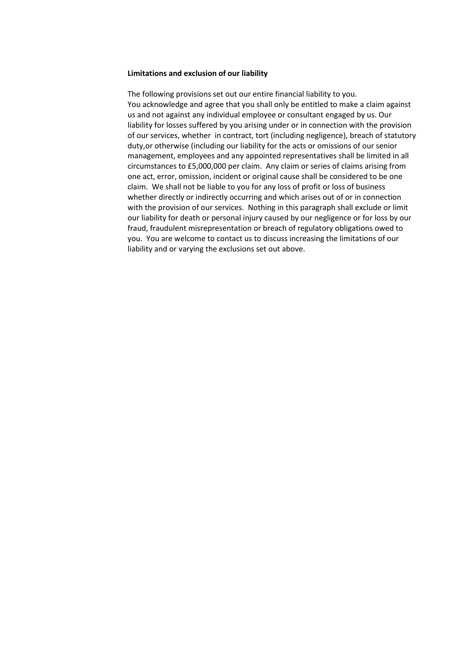#### **Limitations and exclusion of our liability**

The following provisions set out our entire financial liability to you. You acknowledge and agree that you shall only be entitled to make a claim against us and not against any individual employee or consultant engaged by us. Our liability for losses suffered by you arising under or in connection with the provision of our services, whether in contract, tort (including negligence), breach of statutory duty,or otherwise (including our liability for the acts or omissions of our senior management, employees and any appointed representatives shall be limited in all circumstances to £5,000,000 per claim. Any claim or series of claims arising from one act, error, omission, incident or original cause shall be considered to be one claim. We shall not be liable to you for any loss of profit or loss of business whether directly or indirectly occurring and which arises out of or in connection with the provision of our services. Nothing in this paragraph shall exclude or limit our liability for death or personal injury caused by our negligence or for loss by our fraud, fraudulent misrepresentation or breach of regulatory obligations owed to you. You are welcome to contact us to discuss increasing the limitations of our liability and or varying the exclusions set out above.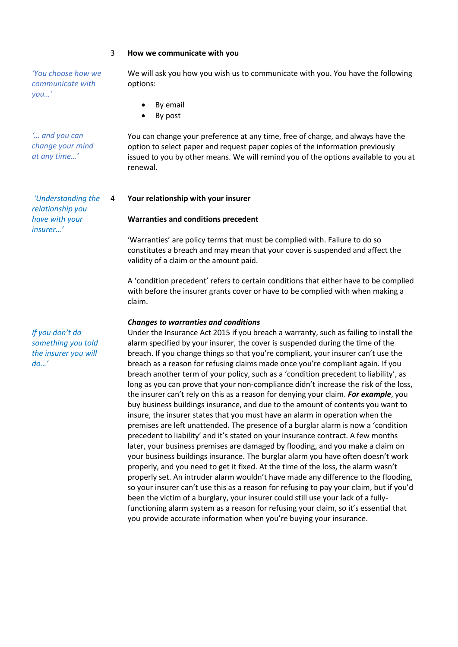#### 3 **How we communicate with you**

*'You choose how we communicate with you…'*

*'… and you can change your mind at any time…'*

*'Understanding the relationship you have with your insurer…'*

*If you don't do something you told the insurer you will do…'*

We will ask you how you wish us to communicate with you. You have the following options:

- By email
- By post

You can change your preference at any time, free of charge, and always have the option to select paper and request paper copies of the information previously issued to you by other means. We will remind you of the options available to you at renewal.

#### 4 **Your relationship with your insurer**

#### **Warranties and conditions precedent**

'Warranties' are policy terms that must be complied with. Failure to do so constitutes a breach and may mean that your cover is suspended and affect the validity of a claim or the amount paid.

A 'condition precedent' refers to certain conditions that either have to be complied with before the insurer grants cover or have to be complied with when making a claim.

#### *Changes to warranties and conditions*

Under the Insurance Act 2015 if you breach a warranty, such as failing to install the alarm specified by your insurer, the cover is suspended during the time of the breach. If you change things so that you're compliant, your insurer can't use the breach as a reason for refusing claims made once you're compliant again. If you breach another term of your policy, such as a 'condition precedent to liability', as long as you can prove that your non-compliance didn't increase the risk of the loss, the insurer can't rely on this as a reason for denying your claim. *For example*, you buy business buildings insurance, and due to the amount of contents you want to insure, the insurer states that you must have an alarm in operation when the premises are left unattended. The presence of a burglar alarm is now a 'condition precedent to liability' and it's stated on your insurance contract. A few months later, your business premises are damaged by flooding, and you make a claim on your business buildings insurance. The burglar alarm you have often doesn't work properly, and you need to get it fixed. At the time of the loss, the alarm wasn't properly set. An intruder alarm wouldn't have made any difference to the flooding, so your insurer can't use this as a reason for refusing to pay your claim, but if you'd been the victim of a burglary, your insurer could still use your lack of a fullyfunctioning alarm system as a reason for refusing your claim, so it's essential that you provide accurate information when you're buying your insurance.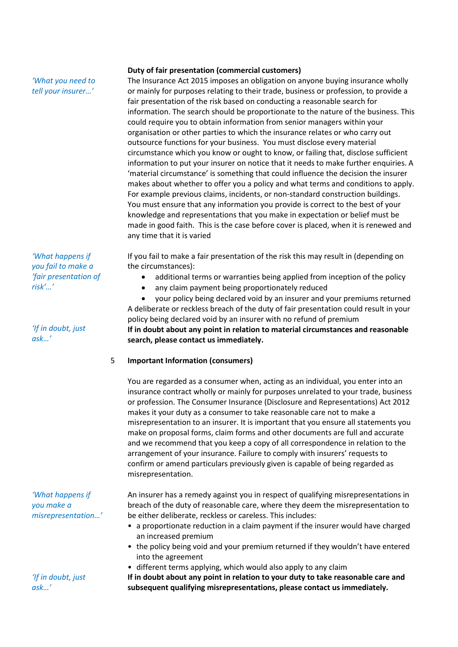# *'What you need to tell your insurer…'*

#### **Duty of fair presentation (commercial customers)**

The Insurance Act 2015 imposes an obligation on anyone buying insurance wholly or mainly for purposes relating to their trade, business or profession, to provide a fair presentation of the risk based on conducting a reasonable search for information. The search should be proportionate to the nature of the business. This could require you to obtain information from senior managers within your organisation or other parties to which the insurance relates or who carry out outsource functions for your business. You must disclose every material circumstance which you know or ought to know, or failing that, disclose sufficient information to put your insurer on notice that it needs to make further enquiries. A 'material circumstance' is something that could influence the decision the insurer makes about whether to offer you a policy and what terms and conditions to apply. For example previous claims, incidents, or non-standard construction buildings. You must ensure that any information you provide is correct to the best of your knowledge and representations that you make in expectation or belief must be made in good faith. This is the case before cover is placed, when it is renewed and any time that it is varied

If you fail to make a fair presentation of the risk this may result in (depending on the circumstances):

- additional terms or warranties being applied from inception of the policy
- any claim payment being proportionately reduced

 your policy being declared void by an insurer and your premiums returned A deliberate or reckless breach of the duty of fair presentation could result in your policy being declared void by an insurer with no refund of premium **If in doubt about any point in relation to material circumstances and reasonable search, please contact us immediately.**

# 5 **Important Information (consumers)**

You are regarded as a consumer when, acting as an individual, you enter into an insurance contract wholly or mainly for purposes unrelated to your trade, business or profession. The Consumer Insurance (Disclosure and Representations) Act 2012 makes it your duty as a consumer to take reasonable care not to make a misrepresentation to an insurer. It is important that you ensure all statements you make on proposal forms, claim forms and other documents are full and accurate and we recommend that you keep a copy of all correspondence in relation to the arrangement of your insurance. Failure to comply with insurers' requests to confirm or amend particulars previously given is capable of being regarded as misrepresentation.

An insurer has a remedy against you in respect of qualifying misrepresentations in breach of the duty of reasonable care, where they deem the misrepresentation to be either deliberate, reckless or careless. This includes:

- a proportionate reduction in a claim payment if the insurer would have charged an increased premium
- the policy being void and your premium returned if they wouldn't have entered into the agreement
- different terms applying, which would also apply to any claim

**If in doubt about any point in relation to your duty to take reasonable care and subsequent qualifying misrepresentations, please contact us immediately.**

*'What happens if you fail to make a 'fair presentation of risk'…'*

*'If in doubt, just ask…'*

*'What happens if you make a misrepresentation…'*

*'If in doubt, just ask…'*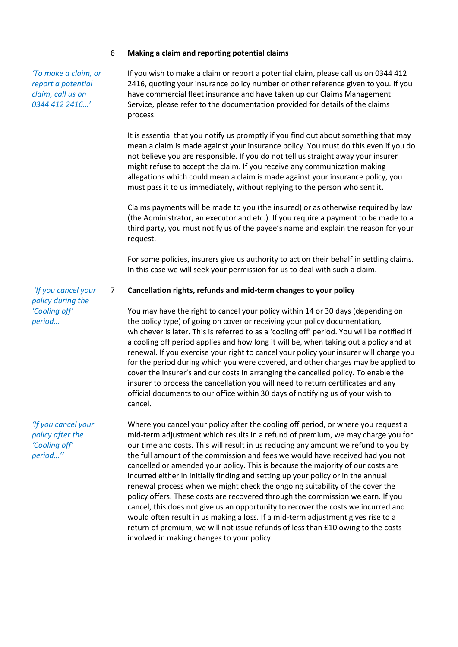#### 6 **Making a claim and reporting potential claims**

*'To make a claim, or report a potential claim, call us on 0344 412 2416…'*

If you wish to make a claim or report a potential claim, please call us on 0344 412 2416, quoting your insurance policy number or other reference given to you. If you have commercial fleet insurance and have taken up our Claims Management Service, please refer to the documentation provided for details of the claims process.

It is essential that you notify us promptly if you find out about something that may mean a claim is made against your insurance policy. You must do this even if you do not believe you are responsible. If you do not tell us straight away your insurer might refuse to accept the claim. If you receive any communication making allegations which could mean a claim is made against your insurance policy, you must pass it to us immediately, without replying to the person who sent it.

Claims payments will be made to you (the insured) or as otherwise required by law (the Administrator, an executor and etc.). If you require a payment to be made to a third party, you must notify us of the payee's name and explain the reason for your request.

For some policies, insurers give us authority to act on their behalf in settling claims. In this case we will seek your permission for us to deal with such a claim.

#### 7 **Cancellation rights, refunds and mid-term changes to your policy**

You may have the right to cancel your policy within 14 or 30 days (depending on the policy type) of going on cover or receiving your policy documentation, whichever is later. This is referred to as a 'cooling off' period. You will be notified if a cooling off period applies and how long it will be, when taking out a policy and at renewal. If you exercise your right to cancel your policy your insurer will charge you for the period during which you were covered, and other charges may be applied to cover the insurer's and our costs in arranging the cancelled policy. To enable the insurer to process the cancellation you will need to return certificates and any official documents to our office within 30 days of notifying us of your wish to cancel.

Where you cancel your policy after the cooling off period, or where you request a mid-term adjustment which results in a refund of premium, we may charge you for our time and costs. This will result in us reducing any amount we refund to you by the full amount of the commission and fees we would have received had you not cancelled or amended your policy. This is because the majority of our costs are incurred either in initially finding and setting up your policy or in the annual renewal process when we might check the ongoing suitability of the cover the policy offers. These costs are recovered through the commission we earn. If you cancel, this does not give us an opportunity to recover the costs we incurred and would often result in us making a loss. If a mid-term adjustment gives rise to a return of premium, we will not issue refunds of less than £10 owing to the costs involved in making changes to your policy.

*'If you cancel your policy during the 'Cooling off' period…*

*'If you cancel your policy after the 'Cooling off' period…''*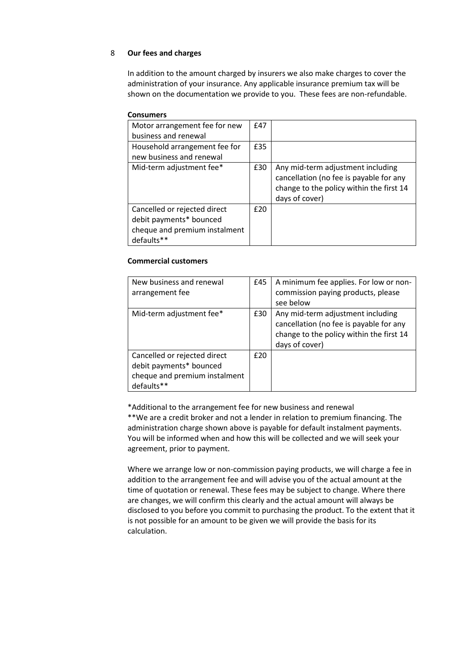# 8 **Our fees and charges**

In addition to the amount charged by insurers we also make charges to cover the administration of your insurance. Any applicable insurance premium tax will be shown on the documentation we provide to you. These fees are non-refundable.

| <b>Consumers</b>                                                                                       |     |                                                                                                                                            |
|--------------------------------------------------------------------------------------------------------|-----|--------------------------------------------------------------------------------------------------------------------------------------------|
| Motor arrangement fee for new                                                                          |     |                                                                                                                                            |
| business and renewal                                                                                   |     |                                                                                                                                            |
| Household arrangement fee for                                                                          |     |                                                                                                                                            |
| new business and renewal                                                                               |     |                                                                                                                                            |
| Mid-term adjustment fee*                                                                               | £30 | Any mid-term adjustment including<br>cancellation (no fee is payable for any<br>change to the policy within the first 14<br>days of cover) |
| Cancelled or rejected direct<br>debit payments* bounced<br>cheque and premium instalment<br>defaults** | £20 |                                                                                                                                            |

#### **Commercial customers**

| New business and renewal<br>arrangement fee                                                            | £45 | A minimum fee applies. For low or non-<br>commission paying products, please<br>see below                                                  |
|--------------------------------------------------------------------------------------------------------|-----|--------------------------------------------------------------------------------------------------------------------------------------------|
| Mid-term adjustment fee*                                                                               | £30 | Any mid-term adjustment including<br>cancellation (no fee is payable for any<br>change to the policy within the first 14<br>days of cover) |
| Cancelled or rejected direct<br>debit payments* bounced<br>cheque and premium instalment<br>defaults** | £20 |                                                                                                                                            |

\*Additional to the arrangement fee for new business and renewal \*\*We are a credit broker and not a lender in relation to premium financing. The administration charge shown above is payable for default instalment payments. You will be informed when and how this will be collected and we will seek your agreement, prior to payment.

Where we arrange low or non-commission paying products, we will charge a fee in addition to the arrangement fee and will advise you of the actual amount at the time of quotation or renewal. These fees may be subject to change. Where there are changes, we will confirm this clearly and the actual amount will always be disclosed to you before you commit to purchasing the product. To the extent that it is not possible for an amount to be given we will provide the basis for its calculation.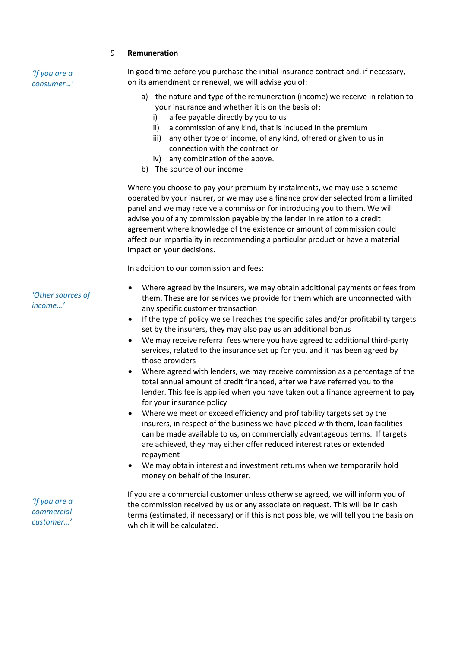#### 9 **Remuneration**

*'If you are a consumer…'* In good time before you purchase the initial insurance contract and, if necessary, on its amendment or renewal, we will advise you of:

- a) the nature and type of the remuneration (income) we receive in relation to your insurance and whether it is on the basis of:
	- i) a fee payable directly by you to us
	- ii) a commission of any kind, that is included in the premium
	- iii) any other type of income, of any kind, offered or given to us in connection with the contract or
	- iv) any combination of the above.
- b) The source of our income

Where you choose to pay your premium by instalments, we may use a scheme operated by your insurer, or we may use a finance provider selected from a limited panel and we may receive a commission for introducing you to them. We will advise you of any commission payable by the lender in relation to a credit agreement where knowledge of the existence or amount of commission could affect our impartiality in recommending a particular product or have a material impact on your decisions.

In addition to our commission and fees:

- Where agreed by the insurers, we may obtain additional payments or fees from them. These are for services we provide for them which are unconnected with any specific customer transaction
- If the type of policy we sell reaches the specific sales and/or profitability targets set by the insurers, they may also pay us an additional bonus
- We may receive referral fees where you have agreed to additional third-party services, related to the insurance set up for you, and it has been agreed by those providers
- Where agreed with lenders, we may receive commission as a percentage of the total annual amount of credit financed, after we have referred you to the lender. This fee is applied when you have taken out a finance agreement to pay for your insurance policy
- Where we meet or exceed efficiency and profitability targets set by the insurers, in respect of the business we have placed with them, loan facilities can be made available to us, on commercially advantageous terms. If targets are achieved, they may either offer reduced interest rates or extended repayment
- We may obtain interest and investment returns when we temporarily hold money on behalf of the insurer.

If you are a commercial customer unless otherwise agreed, we will inform you of the commission received by us or any associate on request. This will be in cash terms (estimated, if necessary) or if this is not possible, we will tell you the basis on which it will be calculated.

*'Other sources of income…'*

*'If you are a commercial customer…'*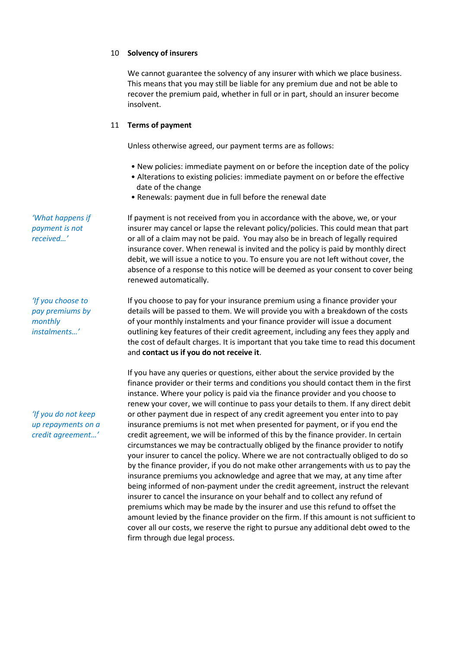#### 10 **Solvency of insurers**

We cannot guarantee the solvency of any insurer with which we place business. This means that you may still be liable for any premium due and not be able to recover the premium paid, whether in full or in part, should an insurer become insolvent.

#### 11 **Terms of payment**

Unless otherwise agreed, our payment terms are as follows:

- New policies: immediate payment on or before the inception date of the policy
- Alterations to existing policies: immediate payment on or before the effective date of the change
- Renewals: payment due in full before the renewal date

If payment is not received from you in accordance with the above, we, or your insurer may cancel or lapse the relevant policy/policies. This could mean that part or all of a claim may not be paid. You may also be in breach of legally required insurance cover. When renewal is invited and the policy is paid by monthly direct debit, we will issue a notice to you. To ensure you are not left without cover, the absence of a response to this notice will be deemed as your consent to cover being renewed automatically.

If you choose to pay for your insurance premium using a finance provider your details will be passed to them. We will provide you with a breakdown of the costs of your monthly instalments and your finance provider will issue a document outlining key features of their credit agreement, including any fees they apply and the cost of default charges. It is important that you take time to read this document and **contact us if you do not receive it**.

If you have any queries or questions, either about the service provided by the finance provider or their terms and conditions you should contact them in the first instance. Where your policy is paid via the finance provider and you choose to renew your cover, we will continue to pass your details to them. If any direct debit or other payment due in respect of any credit agreement you enter into to pay insurance premiums is not met when presented for payment, or if you end the credit agreement, we will be informed of this by the finance provider. In certain circumstances we may be contractually obliged by the finance provider to notify your insurer to cancel the policy. Where we are not contractually obliged to do so by the finance provider, if you do not make other arrangements with us to pay the insurance premiums you acknowledge and agree that we may, at any time after being informed of non-payment under the credit agreement, instruct the relevant insurer to cancel the insurance on your behalf and to collect any refund of premiums which may be made by the insurer and use this refund to offset the amount levied by the finance provider on the firm. If this amount is not sufficient to cover all our costs, we reserve the right to pursue any additional debt owed to the firm through due legal process.

*'What happens if payment is not received…'*

*'If you choose to pay premiums by monthly instalments…'*

*'If you do not keep up repayments on a credit agreement…'*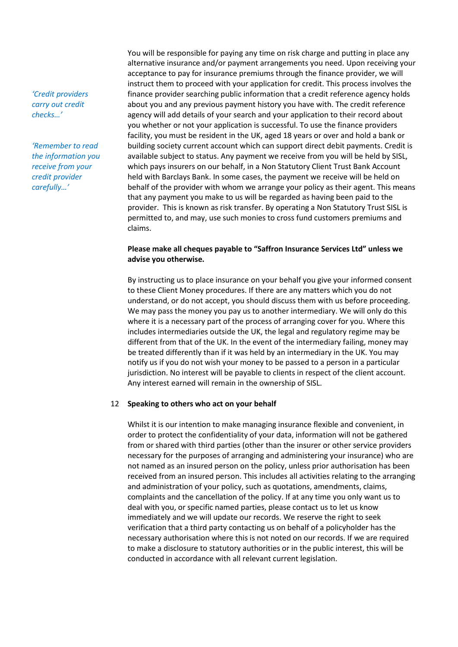*'Credit providers carry out credit checks…'*

*'Remember to read the information you receive from your credit provider carefully…'*

You will be responsible for paying any time on risk charge and putting in place any alternative insurance and/or payment arrangements you need. Upon receiving your acceptance to pay for insurance premiums through the finance provider, we will instruct them to proceed with your application for credit. This process involves the finance provider searching public information that a credit reference agency holds about you and any previous payment history you have with. The credit reference agency will add details of your search and your application to their record about you whether or not your application is successful. To use the finance providers facility, you must be resident in the UK, aged 18 years or over and hold a bank or building society current account which can support direct debit payments. Credit is available subject to status. Any payment we receive from you will be held by SISL, which pays insurers on our behalf, in a Non Statutory Client Trust Bank Account held with Barclays Bank. In some cases, the payment we receive will be held on behalf of the provider with whom we arrange your policy as their agent. This means that any payment you make to us will be regarded as having been paid to the provider. This is known as risk transfer. By operating a Non Statutory Trust SISL is permitted to, and may, use such monies to cross fund customers premiums and claims.

## **Please make all cheques payable to "Saffron Insurance Services Ltd" unless we advise you otherwise.**

By instructing us to place insurance on your behalf you give your informed consent to these Client Money procedures. If there are any matters which you do not understand, or do not accept, you should discuss them with us before proceeding. We may pass the money you pay us to another intermediary. We will only do this where it is a necessary part of the process of arranging cover for you. Where this includes intermediaries outside the UK, the legal and regulatory regime may be different from that of the UK. In the event of the intermediary failing, money may be treated differently than if it was held by an intermediary in the UK. You may notify us if you do not wish your money to be passed to a person in a particular jurisdiction. No interest will be payable to clients in respect of the client account. Any interest earned will remain in the ownership of SISL.

#### 12 **Speaking to others who act on your behalf**

Whilst it is our intention to make managing insurance flexible and convenient, in order to protect the confidentiality of your data, information will not be gathered from or shared with third parties (other than the insurer or other service providers necessary for the purposes of arranging and administering your insurance) who are not named as an insured person on the policy, unless prior authorisation has been received from an insured person. This includes all activities relating to the arranging and administration of your policy, such as quotations, amendments, claims, complaints and the cancellation of the policy. If at any time you only want us to deal with you, or specific named parties, please contact us to let us know immediately and we will update our records. We reserve the right to seek verification that a third party contacting us on behalf of a policyholder has the necessary authorisation where this is not noted on our records. If we are required to make a disclosure to statutory authorities or in the public interest, this will be conducted in accordance with all relevant current legislation.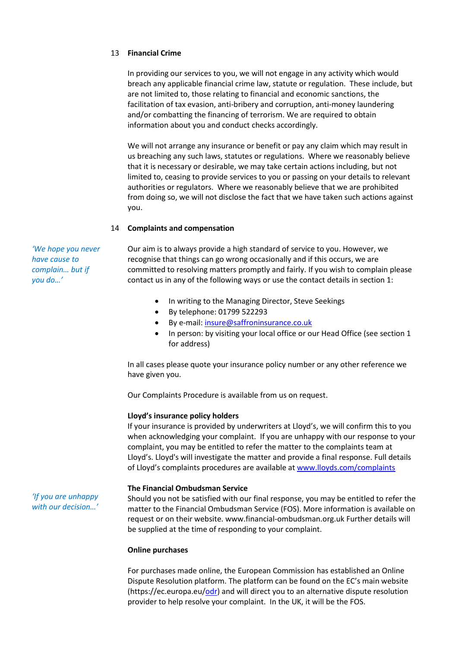#### 13 **Financial Crime**

In providing our services to you, we will not engage in any activity which would breach any applicable financial crime law, statute or regulation. These include, but are not limited to, those relating to financial and economic sanctions, the facilitation of tax evasion, anti-bribery and corruption, anti-money laundering and/or combatting the financing of terrorism. We are required to obtain information about you and conduct checks accordingly.

We will not arrange any insurance or benefit or pay any claim which may result in us breaching any such laws, statutes or regulations. Where we reasonably believe that it is necessary or desirable, we may take certain actions including, but not limited to, ceasing to provide services to you or passing on your details to relevant authorities or regulators. Where we reasonably believe that we are prohibited from doing so, we will not disclose the fact that we have taken such actions against you.

#### 14 **Complaints and compensation**

*'We hope you never have cause to complain… but if you do…'*

Our aim is to always provide a high standard of service to you. However, we recognise that things can go wrong occasionally and if this occurs, we are committed to resolving matters promptly and fairly. If you wish to complain please contact us in any of the following ways or use the contact details in section 1:

- In writing to the Managing Director, Steve Seekings
- By telephone: 01799 522293
- By e-mail: insure@saffroninsurance.co.uk
- In person: by visiting your local office or our Head Office (see section 1 for address)

In all cases please quote your insurance policy number or any other reference we have given you.

Our Complaints Procedure is available from us on request.

#### **Lloyd's insurance policy holders**

If your insurance is provided by underwriters at Lloyd's, we will confirm this to you when acknowledging your complaint. If you are unhappy with our response to your complaint, you may be entitled to refer the matter to the complaints team at Lloyd's. Lloyd's will investigate the matter and provide a final response. Full details of Lloyd's complaints procedures are available at www.lloyds.com/complaints

#### **The Financial Ombudsman Service**

*'If you are unhappy with our decision…'* Should you not be satisfied with our final response, you may be entitled to refer the matter to the Financial Ombudsman Service (FOS). More information is available on request or on their website. www.financial-ombudsman.org.uk Further details will be supplied at the time of responding to your complaint.

#### **Online purchases**

For purchases made online, the European Commission has established an Online Dispute Resolution platform. The platform can be found on the EC's main website (https://ec.europa.eu/odr) and will direct you to an alternative dispute resolution provider to help resolve your complaint. In the UK, it will be the FOS.